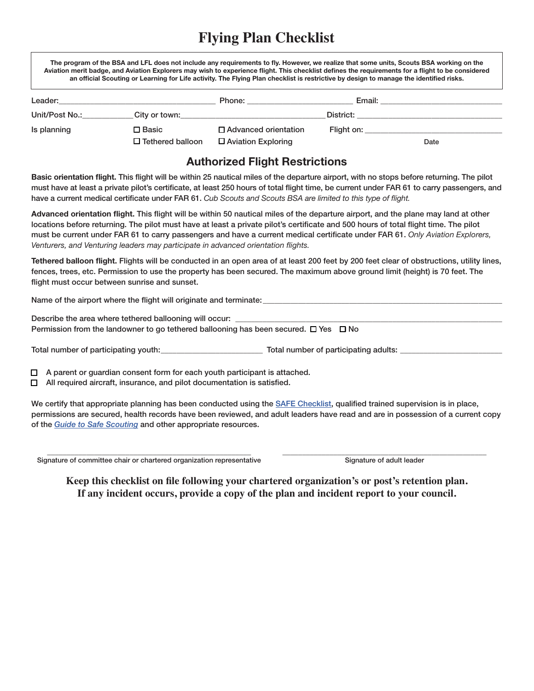# **Flying Plan Checklist**

The program of the BSA and LFL does not include any requirements to fly. However, we realize that some units, Scouts BSA working on the Aviation merit badge, and Aviation Explorers may wish to experience flight. This checklist defines the requirements for a flight to be considered an official Scouting or Learning for Life activity. The Flying Plan checklist is restrictive by design to manage the identified risks.

| Leader:        |                    | Phone:                    | Email:     |      |
|----------------|--------------------|---------------------------|------------|------|
| Unit/Post No.: | City or town:      |                           | District:  |      |
| Is planning    | □ Basic            | □ Advanced orientation    | Flight on: |      |
|                | □ Tethered balloon | $\Box$ Aviation Exploring |            | Date |

# Authorized Flight Restrictions

Basic orientation flight. This flight will be within 25 nautical miles of the departure airport, with no stops before returning. The pilot must have at least a private pilot's certificate, at least 250 hours of total flight time, be current under FAR 61 to carry passengers, and have a current medical certificate under FAR 61. *Cub Scouts and Scouts BSA are limited to this type of flight.*

Advanced orientation flight. This flight will be within 50 nautical miles of the departure airport, and the plane may land at other locations before returning. The pilot must have at least a private pilot's certificate and 500 hours of total flight time. The pilot must be current under FAR 61 to carry passengers and have a current medical certificate under FAR 61. *Only Aviation Explorers, Venturers, and Venturing leaders may participate in advanced orientation flights.*

Tethered balloon flight. Flights will be conducted in an open area of at least 200 feet by 200 feet clear of obstructions, utility lines, fences, trees, etc. Permission to use the property has been secured. The maximum above ground limit (height) is 70 feet. The flight must occur between sunrise and sunset.

Name of the airport where the flight will originate and terminate:

| Describe the area where tethered ballooning will occur:                                              |  |
|------------------------------------------------------------------------------------------------------|--|
| Permission from the landowner to go tethered ballooning has been secured. $\square$ Yes $\square$ No |  |

Total number of participating youth: Total number of participating adults:

 $\Box$  A parent or guardian consent form for each youth participant is attached.

 $\Box$  All required aircraft, insurance, and pilot documentation is satisfied.

We certify that appropriate planning has been conducted using the **SAFE Checklist**, qualified trained supervision is in place, permissions are secured, health records have been reviewed, and adult leaders have read and are in possession of a current copy of the *[Guide to Safe Scouting](https://www.scouting.org/health-and-safety/gss/)* and other appropriate resources.

\_\_\_\_\_\_\_\_\_\_\_\_\_\_\_\_\_\_\_\_\_\_\_\_\_\_\_\_\_\_\_\_\_\_\_\_\_\_\_\_\_\_\_\_\_\_\_\_\_\_\_\_ \_\_\_\_\_\_\_\_\_\_\_\_\_\_\_\_\_\_\_\_\_\_\_\_\_\_\_\_\_\_\_\_\_\_\_\_\_\_\_\_\_\_\_\_\_\_\_\_\_\_\_\_ Signature of committee chair or chartered organization representative Signature Signature of adult leader

**Keep this checklist on file following your chartered organization's or post's retention plan. If any incident occurs, provide a copy of the plan and incident report to your council.**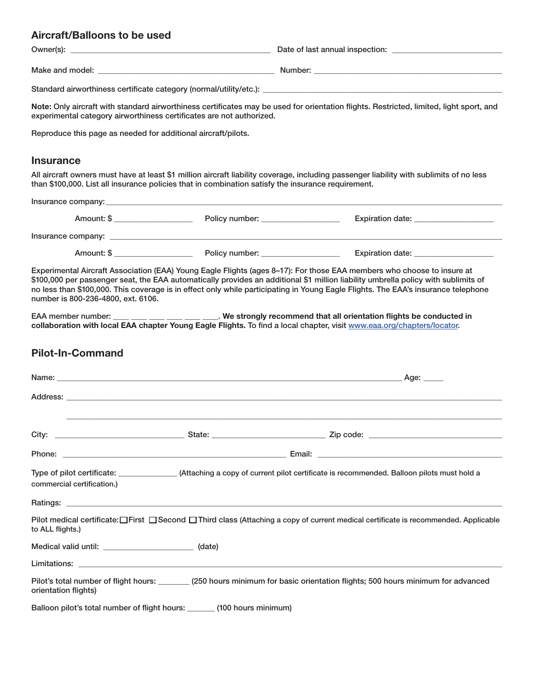# Aircraft/Balloons to be used

| experimental category airworthiness certificates are not authorized.                                                                                                                                                             |                                 | Note: Only aircraft with standard airworthiness certificates may be used for orientation flights. Restricted, limited, light sport, and                                                                                                                                                                                                                                                           |  |  |
|----------------------------------------------------------------------------------------------------------------------------------------------------------------------------------------------------------------------------------|---------------------------------|---------------------------------------------------------------------------------------------------------------------------------------------------------------------------------------------------------------------------------------------------------------------------------------------------------------------------------------------------------------------------------------------------|--|--|
| Reproduce this page as needed for additional aircraft/pilots.                                                                                                                                                                    |                                 |                                                                                                                                                                                                                                                                                                                                                                                                   |  |  |
| <b>Insurance</b>                                                                                                                                                                                                                 |                                 |                                                                                                                                                                                                                                                                                                                                                                                                   |  |  |
| than \$100,000. List all insurance policies that in combination satisfy the insurance requirement.                                                                                                                               |                                 | All aircraft owners must have at least \$1 million aircraft liability coverage, including passenger liability with sublimits of no less                                                                                                                                                                                                                                                           |  |  |
|                                                                                                                                                                                                                                  |                                 |                                                                                                                                                                                                                                                                                                                                                                                                   |  |  |
|                                                                                                                                                                                                                                  |                                 | Expiration date: ____________________                                                                                                                                                                                                                                                                                                                                                             |  |  |
|                                                                                                                                                                                                                                  |                                 |                                                                                                                                                                                                                                                                                                                                                                                                   |  |  |
|                                                                                                                                                                                                                                  |                                 |                                                                                                                                                                                                                                                                                                                                                                                                   |  |  |
| number is 800-236-4800, ext. 6106.                                                                                                                                                                                               |                                 | Experimental Aircraft Association (EAA) Young Eagle Flights (ages 8–17): For those EAA members who choose to insure at<br>\$100,000 per passenger seat, the EAA automatically provides an additional \$1 million liability umbrella policy with sublimits of<br>no less than \$100,000. This coverage is in effect only while participating in Young Eagle Flights. The EAA's insurance telephone |  |  |
| <b>Pilot-In-Command</b>                                                                                                                                                                                                          |                                 | EAA member number: ____ ___ ___ ___ ___ ___ We strongly recommend that all orientation flights be conducted in<br>collaboration with local EAA chapter Young Eagle Flights. To find a local chapter, visit www.eaa.org/chapters/locator.                                                                                                                                                          |  |  |
|                                                                                                                                                                                                                                  |                                 |                                                                                                                                                                                                                                                                                                                                                                                                   |  |  |
|                                                                                                                                                                                                                                  |                                 |                                                                                                                                                                                                                                                                                                                                                                                                   |  |  |
|                                                                                                                                                                                                                                  |                                 |                                                                                                                                                                                                                                                                                                                                                                                                   |  |  |
| City:                                                                                                                                                                                                                            | _________ State: ______________ |                                                                                                                                                                                                                                                                                                                                                                                                   |  |  |
|                                                                                                                                                                                                                                  |                                 |                                                                                                                                                                                                                                                                                                                                                                                                   |  |  |
| commercial certification.)                                                                                                                                                                                                       |                                 | Type of pilot certificate: ______________(Attaching a copy of current pilot certificate is recommended. Balloon pilots must hold a                                                                                                                                                                                                                                                                |  |  |
| <b>Ratings: Example 2020 Contract Contract Contract Contract Contract Contract Contract Contract Contract Contract Contract Contract Contract Contract Contract Contract Contract Contract Contract Contract Contract Contra</b> |                                 |                                                                                                                                                                                                                                                                                                                                                                                                   |  |  |
| to ALL flights.)                                                                                                                                                                                                                 |                                 | Pilot medical certificate: OFirst OSecond OThird class (Attaching a copy of current medical certificate is recommended. Applicable                                                                                                                                                                                                                                                                |  |  |
| Medical valid until: ______________________________ (date)                                                                                                                                                                       |                                 |                                                                                                                                                                                                                                                                                                                                                                                                   |  |  |
|                                                                                                                                                                                                                                  |                                 |                                                                                                                                                                                                                                                                                                                                                                                                   |  |  |
| orientation flights)                                                                                                                                                                                                             |                                 | Pilot's total number of flight hours: _______ (250 hours minimum for basic orientation flights; 500 hours minimum for advanced                                                                                                                                                                                                                                                                    |  |  |
|                                                                                                                                                                                                                                  |                                 |                                                                                                                                                                                                                                                                                                                                                                                                   |  |  |